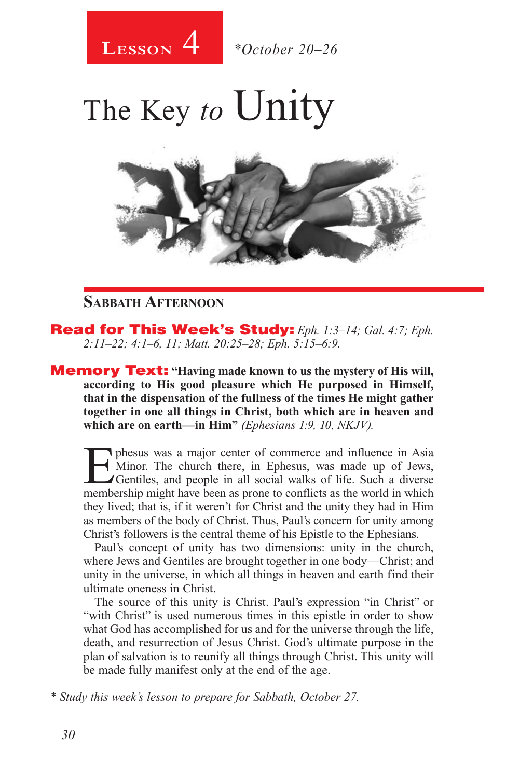

The Key *to* Unity



### **Sabbath Afternoon**

Read for This Week's Study: *Eph. 1:3–14; Gal. 4:7; Eph. 2:11–22; 4:1–6, 11; Matt. 20:25–28; Eph. 5:15–6:9.*

Memory Text: **"Having made known to us the mystery of His will, according to His good pleasure which He purposed in Himself, that in the dispensation of the fullness of the times He might gather together in one all things in Christ, both which are in heaven and which are on earth—in Him"** *(Ephesians 1:9, 10, NKJV).* 

**Exhibited:** The sus vas a major center of commerce and influence in Asia<br>
Minor. The church there, in Ephesus, was made up of Jews,<br>
Gentiles, and people in all social walks of life. Such a diverse<br>
membership might have Minor. The church there, in Ephesus, was made up of Jews, Gentiles, and people in all social walks of life. Such a diverse membership might have been as prone to conflicts as the world in which they lived; that is, if it weren't for Christ and the unity they had in Him as members of the body of Christ. Thus, Paul's concern for unity among Christ's followers is the central theme of his Epistle to the Ephesians.

Paul's concept of unity has two dimensions: unity in the church, where Jews and Gentiles are brought together in one body—Christ; and unity in the universe, in which all things in heaven and earth find their ultimate oneness in Christ.

The source of this unity is Christ. Paul's expression "in Christ" or "with Christ" is used numerous times in this epistle in order to show what God has accomplished for us and for the universe through the life, death, and resurrection of Jesus Christ. God's ultimate purpose in the plan of salvation is to reunify all things through Christ. This unity will be made fully manifest only at the end of the age.

*\* Study this week's lesson to prepare for Sabbath, October 27.*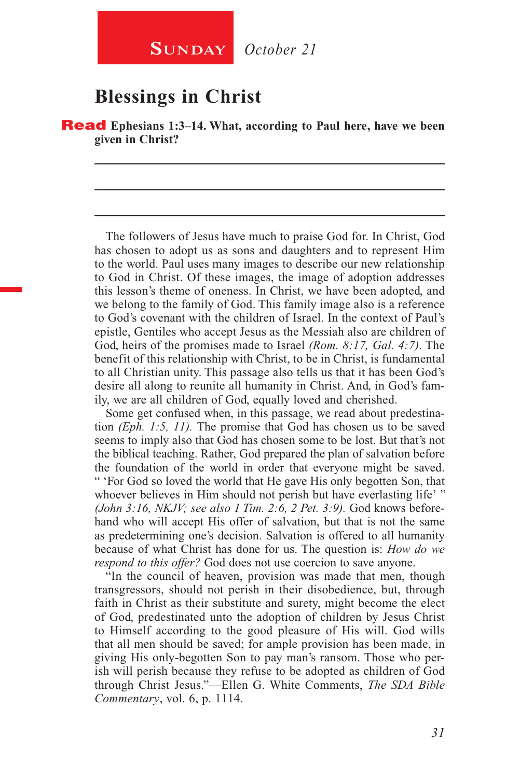### **Blessings in Christ**

Read **Ephesians 1:3–14. What, according to Paul here, have we been given in Christ?** 

\_\_\_\_\_\_\_\_\_\_\_\_\_\_\_\_\_\_\_\_\_\_\_\_\_\_\_\_\_\_\_\_\_\_\_\_\_\_\_\_\_\_\_\_\_\_\_\_\_\_\_\_\_\_\_\_

\_\_\_\_\_\_\_\_\_\_\_\_\_\_\_\_\_\_\_\_\_\_\_\_\_\_\_\_\_\_\_\_\_\_\_\_\_\_\_\_\_\_\_\_\_\_\_\_\_\_\_\_\_\_\_\_

\_\_\_\_\_\_\_\_\_\_\_\_\_\_\_\_\_\_\_\_\_\_\_\_\_\_\_\_\_\_\_\_\_\_\_\_\_\_\_\_\_\_\_\_\_\_\_\_\_\_\_\_\_\_\_\_

The followers of Jesus have much to praise God for. In Christ, God has chosen to adopt us as sons and daughters and to represent Him to the world. Paul uses many images to describe our new relationship to God in Christ. Of these images, the image of adoption addresses this lesson's theme of oneness. In Christ, we have been adopted, and we belong to the family of God. This family image also is a reference to God's covenant with the children of Israel. In the context of Paul's epistle, Gentiles who accept Jesus as the Messiah also are children of God, heirs of the promises made to Israel *(Rom. 8:17, Gal. 4:7).* The benefit of this relationship with Christ, to be in Christ, is fundamental to all Christian unity. This passage also tells us that it has been God's desire all along to reunite all humanity in Christ. And, in God's family, we are all children of God, equally loved and cherished.

Some get confused when, in this passage, we read about predestination *(Eph. 1:5, 11).* The promise that God has chosen us to be saved seems to imply also that God has chosen some to be lost. But that's not the biblical teaching. Rather, God prepared the plan of salvation before the foundation of the world in order that everyone might be saved. " 'For God so loved the world that He gave His only begotten Son, that whoever believes in Him should not perish but have everlasting life' " *(John 3:16, NKJV; see also 1 Tim. 2:6, 2 Pet. 3:9).* God knows beforehand who will accept His offer of salvation, but that is not the same as predetermining one's decision. Salvation is offered to all humanity because of what Christ has done for us. The question is: *How do we respond to this offer?* God does not use coercion to save anyone.

"In the council of heaven, provision was made that men, though transgressors, should not perish in their disobedience, but, through faith in Christ as their substitute and surety, might become the elect of God, predestinated unto the adoption of children by Jesus Christ to Himself according to the good pleasure of His will. God wills that all men should be saved; for ample provision has been made, in giving His only-begotten Son to pay man's ransom. Those who perish will perish because they refuse to be adopted as children of God through Christ Jesus."—Ellen G. White Comments, *The SDA Bible Commentary*, vol. 6, p. 1114.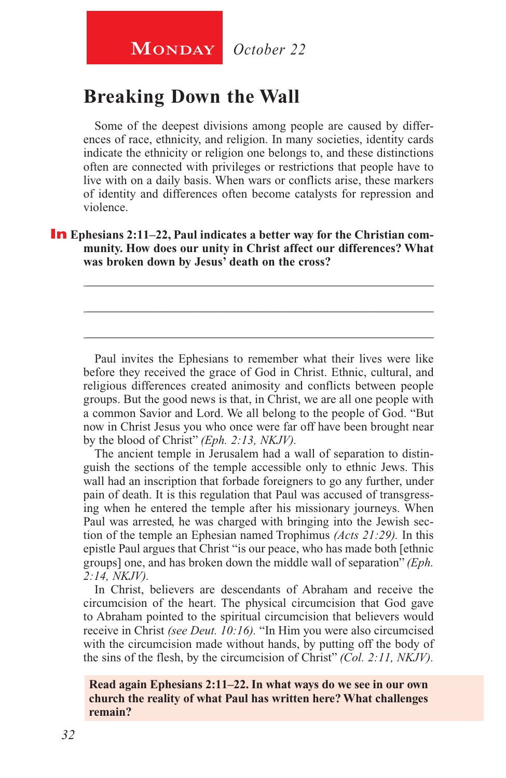### **Breaking Down the Wall**

Some of the deepest divisions among people are caused by differences of race, ethnicity, and religion. In many societies, identity cards indicate the ethnicity or religion one belongs to, and these distinctions often are connected with privileges or restrictions that people have to live with on a daily basis. When wars or conflicts arise, these markers of identity and differences often become catalysts for repression and violence.

**In** Ephesians 2:11–22, Paul indicates a better way for the Christian com**munity. How does our unity in Christ affect our differences? What was broken down by Jesus' death on the cross?** 

\_\_\_\_\_\_\_\_\_\_\_\_\_\_\_\_\_\_\_\_\_\_\_\_\_\_\_\_\_\_\_\_\_\_\_\_\_\_\_\_\_\_\_\_\_\_\_\_\_\_\_\_\_\_\_\_

\_\_\_\_\_\_\_\_\_\_\_\_\_\_\_\_\_\_\_\_\_\_\_\_\_\_\_\_\_\_\_\_\_\_\_\_\_\_\_\_\_\_\_\_\_\_\_\_\_\_\_\_\_\_\_\_

\_\_\_\_\_\_\_\_\_\_\_\_\_\_\_\_\_\_\_\_\_\_\_\_\_\_\_\_\_\_\_\_\_\_\_\_\_\_\_\_\_\_\_\_\_\_\_\_\_\_\_\_\_\_\_\_

Paul invites the Ephesians to remember what their lives were like before they received the grace of God in Christ. Ethnic, cultural, and religious differences created animosity and conflicts between people groups. But the good news is that, in Christ, we are all one people with a common Savior and Lord. We all belong to the people of God. "But now in Christ Jesus you who once were far off have been brought near by the blood of Christ" *(Eph. 2:13, NKJV).*

The ancient temple in Jerusalem had a wall of separation to distinguish the sections of the temple accessible only to ethnic Jews. This wall had an inscription that forbade foreigners to go any further, under pain of death. It is this regulation that Paul was accused of transgressing when he entered the temple after his missionary journeys. When Paul was arrested, he was charged with bringing into the Jewish section of the temple an Ephesian named Trophimus *(Acts 21:29).* In this epistle Paul argues that Christ "is our peace, who has made both [ethnic groups] one, and has broken down the middle wall of separation" *(Eph. 2:14, NKJV).*

In Christ, believers are descendants of Abraham and receive the circumcision of the heart. The physical circumcision that God gave to Abraham pointed to the spiritual circumcision that believers would receive in Christ *(see Deut. 10:16).* "In Him you were also circumcised with the circumcision made without hands, by putting off the body of the sins of the flesh, by the circumcision of Christ" *(Col. 2:11, NKJV).*

#### **Read again Ephesians 2:11–22. In what ways do we see in our own church the reality of what Paul has written here? What challenges remain?**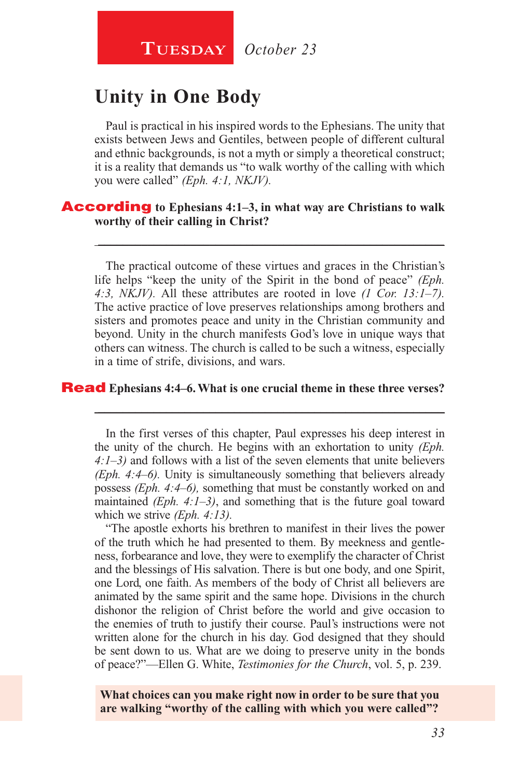## **Unity in One Body**

Paul is practical in his inspired words to the Ephesians. The unity that exists between Jews and Gentiles, between people of different cultural and ethnic backgrounds, is not a myth or simply a theoretical construct; it is a reality that demands us "to walk worthy of the calling with which you were called" *(Eph. 4:1, NKJV).*

#### According **to Ephesians 4:1–3, in what way are Christians to walk worthy of their calling in Christ?**

The practical outcome of these virtues and graces in the Christian's life helps "keep the unity of the Spirit in the bond of peace" *(Eph. 4:3, NKJV).* All these attributes are rooted in love *(1 Cor. 13:1–7).*  The active practice of love preserves relationships among brothers and sisters and promotes peace and unity in the Christian community and beyond. Unity in the church manifests God's love in unique ways that others can witness. The church is called to be such a witness, especially in a time of strife, divisions, and wars.

\_\_\_\_\_\_\_\_\_\_\_\_\_\_\_\_\_\_\_\_\_\_\_\_\_\_\_\_\_\_\_\_\_\_\_\_\_\_\_\_\_\_\_\_\_\_\_\_\_\_\_\_\_\_\_\_

#### Read **Ephesians 4:4–6. What is one crucial theme in these three verses?**

In the first verses of this chapter, Paul expresses his deep interest in the unity of the church. He begins with an exhortation to unity *(Eph. 4:1–3)* and follows with a list of the seven elements that unite believers *(Eph. 4:4–6).* Unity is simultaneously something that believers already possess *(Eph. 4:4–6),* something that must be constantly worked on and maintained *(Eph. 4:1–3)*, and something that is the future goal toward which we strive *(Eph. 4:13).*

\_\_\_\_\_\_\_\_\_\_\_\_\_\_\_\_\_\_\_\_\_\_\_\_\_\_\_\_\_\_\_\_\_\_\_\_\_\_\_\_\_\_\_\_\_\_\_\_\_\_\_\_\_\_\_\_

"The apostle exhorts his brethren to manifest in their lives the power of the truth which he had presented to them. By meekness and gentleness, forbearance and love, they were to exemplify the character of Christ and the blessings of His salvation. There is but one body, and one Spirit, one Lord, one faith. As members of the body of Christ all believers are animated by the same spirit and the same hope. Divisions in the church dishonor the religion of Christ before the world and give occasion to the enemies of truth to justify their course. Paul's instructions were not written alone for the church in his day. God designed that they should be sent down to us. What are we doing to preserve unity in the bonds of peace?"—Ellen G. White, *Testimonies for the Church*, vol. 5, p. 239.

**What choices can you make right now in order to be sure that you are walking "worthy of the calling with which you were called"?**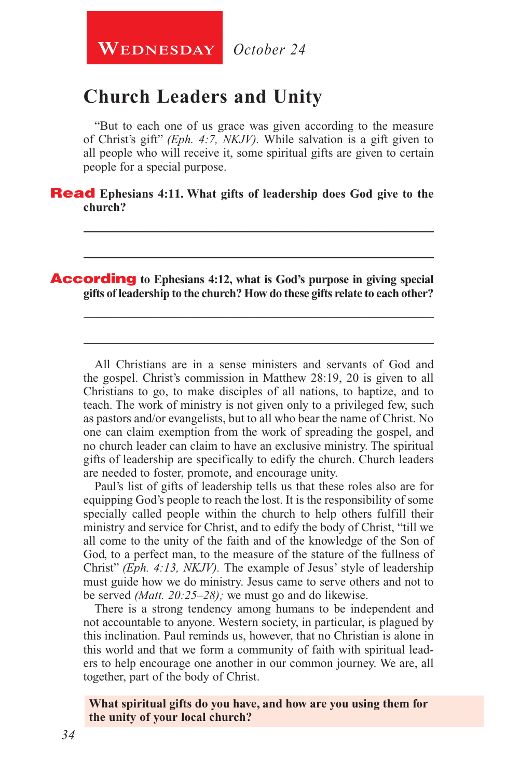**WEDNESDAY** October 24

### **Church Leaders and Unity**

"But to each one of us grace was given according to the measure of Christ's gift" *(Eph. 4:7, NKJV).* While salvation is a gift given to all people who will receive it, some spiritual gifts are given to certain people for a special purpose.

\_\_\_\_\_\_\_\_\_\_\_\_\_\_\_\_\_\_\_\_\_\_\_\_\_\_\_\_\_\_\_\_\_\_\_\_\_\_\_\_\_\_\_\_\_\_\_\_\_\_\_\_\_\_\_\_

\_\_\_\_\_\_\_\_\_\_\_\_\_\_\_\_\_\_\_\_\_\_\_\_\_\_\_\_\_\_\_\_\_\_\_\_\_\_\_\_\_\_\_\_\_\_\_\_\_\_\_\_\_\_\_\_

\_\_\_\_\_\_\_\_\_\_\_\_\_\_\_\_\_\_\_\_\_\_\_\_\_\_\_\_\_\_\_\_\_\_\_\_\_\_\_\_\_\_\_\_\_\_\_\_\_\_\_\_\_\_\_\_

\_\_\_\_\_\_\_\_\_\_\_\_\_\_\_\_\_\_\_\_\_\_\_\_\_\_\_\_\_\_\_\_\_\_\_\_\_\_\_\_\_\_\_\_\_\_\_\_\_\_\_\_\_\_\_\_

Read **Ephesians 4:11. What gifts of leadership does God give to the church?** 

According **to Ephesians 4:12, what is God's purpose in giving special gifts of leadership to the church? How do these gifts relate to each other?**

All Christians are in a sense ministers and servants of God and the gospel. Christ's commission in Matthew 28:19, 20 is given to all Christians to go, to make disciples of all nations, to baptize, and to teach. The work of ministry is not given only to a privileged few, such as pastors and/or evangelists, but to all who bear the name of Christ. No one can claim exemption from the work of spreading the gospel, and no church leader can claim to have an exclusive ministry. The spiritual gifts of leadership are specifically to edify the church. Church leaders are needed to foster, promote, and encourage unity.

Paul's list of gifts of leadership tells us that these roles also are for equipping God's people to reach the lost. It is the responsibility of some specially called people within the church to help others fulfill their ministry and service for Christ, and to edify the body of Christ, "till we all come to the unity of the faith and of the knowledge of the Son of God, to a perfect man, to the measure of the stature of the fullness of Christ" *(Eph. 4:13, NKJV).* The example of Jesus' style of leadership must guide how we do ministry. Jesus came to serve others and not to be served *(Matt. 20:25–28);* we must go and do likewise.

There is a strong tendency among humans to be independent and not accountable to anyone. Western society, in particular, is plagued by this inclination. Paul reminds us, however, that no Christian is alone in this world and that we form a community of faith with spiritual leaders to help encourage one another in our common journey. We are, all together, part of the body of Christ.

**What spiritual gifts do you have, and how are you using them for the unity of your local church?**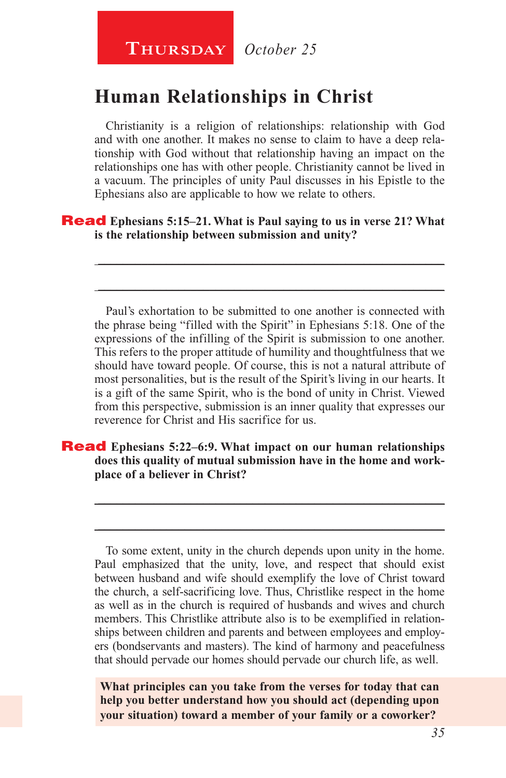### **Human Relationships in Christ**

Christianity is a religion of relationships: relationship with God and with one another. It makes no sense to claim to have a deep relationship with God without that relationship having an impact on the relationships one has with other people. Christianity cannot be lived in a vacuum. The principles of unity Paul discusses in his Epistle to the Ephesians also are applicable to how we relate to others.

\_\_\_\_\_\_\_\_\_\_\_\_\_\_\_\_\_\_\_\_\_\_\_\_\_\_\_\_\_\_\_\_\_\_\_\_\_\_\_\_\_\_\_\_\_\_\_\_\_\_\_\_\_\_\_\_

\_\_\_\_\_\_\_\_\_\_\_\_\_\_\_\_\_\_\_\_\_\_\_\_\_\_\_\_\_\_\_\_\_\_\_\_\_\_\_\_\_\_\_\_\_\_\_\_\_\_\_\_\_\_\_\_

#### Read **Ephesians 5:15–21. What is Paul saying to us in verse 21? What is the relationship between submission and unity?**

Paul's exhortation to be submitted to one another is connected with the phrase being "filled with the Spirit" in Ephesians 5:18. One of the expressions of the infilling of the Spirit is submission to one another. This refers to the proper attitude of humility and thoughtfulness that we should have toward people. Of course, this is not a natural attribute of most personalities, but is the result of the Spirit's living in our hearts. It is a gift of the same Spirit, who is the bond of unity in Christ. Viewed from this perspective, submission is an inner quality that expresses our reverence for Christ and His sacrifice for us.

#### Read **Ephesians 5:22–6:9. What impact on our human relationships does this quality of mutual submission have in the home and workplace of a believer in Christ?**

To some extent, unity in the church depends upon unity in the home. Paul emphasized that the unity, love, and respect that should exist between husband and wife should exemplify the love of Christ toward the church, a self-sacrificing love. Thus, Christlike respect in the home as well as in the church is required of husbands and wives and church members. This Christlike attribute also is to be exemplified in relationships between children and parents and between employees and employers (bondservants and masters). The kind of harmony and peacefulness that should pervade our homes should pervade our church life, as well.

\_\_\_\_\_\_\_\_\_\_\_\_\_\_\_\_\_\_\_\_\_\_\_\_\_\_\_\_\_\_\_\_\_\_\_\_\_\_\_\_\_\_\_\_\_\_\_\_\_\_\_\_\_\_\_\_

\_\_\_\_\_\_\_\_\_\_\_\_\_\_\_\_\_\_\_\_\_\_\_\_\_\_\_\_\_\_\_\_\_\_\_\_\_\_\_\_\_\_\_\_\_\_\_\_\_\_\_\_\_\_\_\_

**What principles can you take from the verses for today that can help you better understand how you should act (depending upon your situation) toward a member of your family or a coworker?**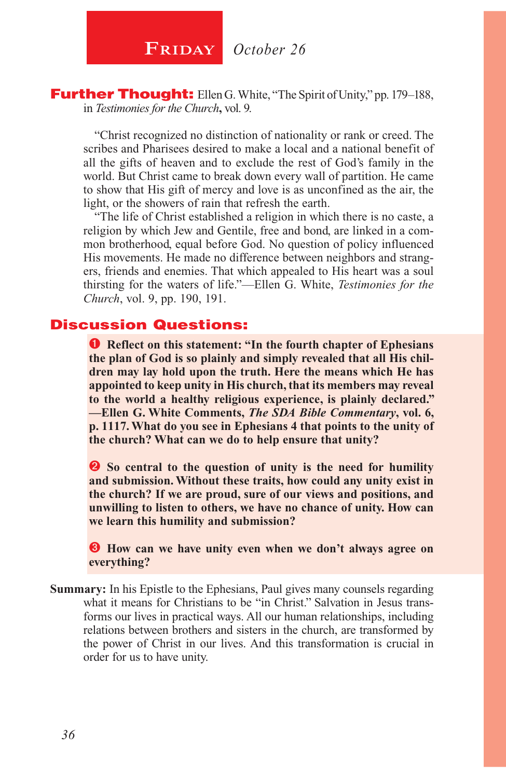**FRIDAY** October 26

Further Thought: Ellen G. White, "The Spirit of Unity," pp. 179-188, in *Testimonies for the Church***,** vol. 9.

"Christ recognized no distinction of nationality or rank or creed. The scribes and Pharisees desired to make a local and a national benefit of all the gifts of heaven and to exclude the rest of God's family in the world. But Christ came to break down every wall of partition. He came to show that His gift of mercy and love is as unconfined as the air, the light, or the showers of rain that refresh the earth.

"The life of Christ established a religion in which there is no caste, a religion by which Jew and Gentile, free and bond, are linked in a common brotherhood, equal before God. No question of policy influenced His movements. He made no difference between neighbors and strangers, friends and enemies. That which appealed to His heart was a soul thirsting for the waters of life."—Ellen G. White, *Testimonies for the Church*, vol. 9, pp. 190, 191.

### Discussion Questions:

**Q** Reflect on this statement: "In the fourth chapter of Ephesians **the plan of God is so plainly and simply revealed that all His children may lay hold upon the truth. Here the means which He has appointed to keep unity in His church, that its members may reveal to the world a healthy religious experience, is plainly declared." —Ellen G. White Comments,** *The SDA Bible Commentary***, vol. 6, p. 1117. What do you see in Ephesians 4 that points to the unity of the church? What can we do to help ensure that unity?**

**2** So central to the question of unity is the need for humility **and submission. Without these traits, how could any unity exist in the church? If we are proud, sure of our views and positions, and unwilling to listen to others, we have no chance of unity. How can we learn this humility and submission?**

 **How can we have unity even when we don't always agree on everything?**

**Summary:** In his Epistle to the Ephesians, Paul gives many counsels regarding what it means for Christians to be "in Christ." Salvation in Jesus transforms our lives in practical ways. All our human relationships, including relations between brothers and sisters in the church, are transformed by the power of Christ in our lives. And this transformation is crucial in order for us to have unity.